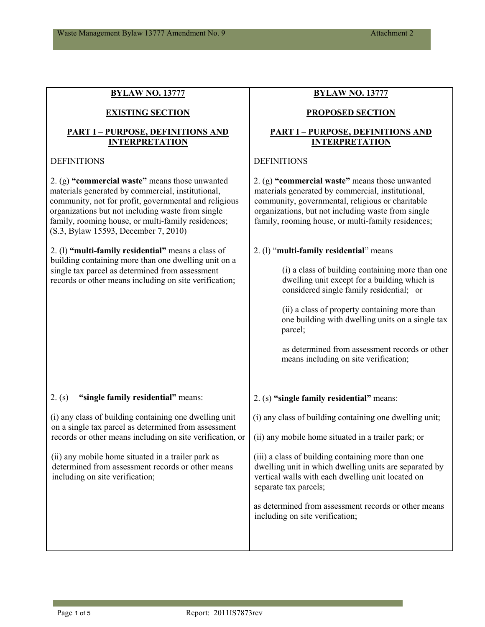**BYLAW NO. 13777**

| <b>EXISTING SECTION</b>                                                                                                                                                                                                                                                                                         | <b>PROPOSED SECTION</b>                                                                                                                                                                                                                                             |  |
|-----------------------------------------------------------------------------------------------------------------------------------------------------------------------------------------------------------------------------------------------------------------------------------------------------------------|---------------------------------------------------------------------------------------------------------------------------------------------------------------------------------------------------------------------------------------------------------------------|--|
| <b>PART I - PURPOSE, DEFINITIONS AND</b><br><b>INTERPRETATION</b>                                                                                                                                                                                                                                               | <b>PART I - PURPOSE, DEFINITIONS AND</b><br><b>INTERPRETATION</b>                                                                                                                                                                                                   |  |
| <b>DEFINITIONS</b>                                                                                                                                                                                                                                                                                              | <b>DEFINITIONS</b>                                                                                                                                                                                                                                                  |  |
| 2. (g) "commercial waste" means those unwanted<br>materials generated by commercial, institutional,<br>community, not for profit, governmental and religious<br>organizations but not including waste from single<br>family, rooming house, or multi-family residences;<br>(S.3, Bylaw 15593, December 7, 2010) | 2. (g) "commercial waste" means those unwanted<br>materials generated by commercial, institutional,<br>community, governmental, religious or charitable<br>organizations, but not including waste from single<br>family, rooming house, or multi-family residences; |  |
| 2. (1) "multi-family residential" means a class of                                                                                                                                                                                                                                                              | 2. (1) "multi-family residential" means                                                                                                                                                                                                                             |  |
| building containing more than one dwelling unit on a<br>single tax parcel as determined from assessment<br>records or other means including on site verification;                                                                                                                                               | (i) a class of building containing more than one<br>dwelling unit except for a building which is<br>considered single family residential; or                                                                                                                        |  |
|                                                                                                                                                                                                                                                                                                                 | (ii) a class of property containing more than<br>one building with dwelling units on a single tax<br>parcel;                                                                                                                                                        |  |
|                                                                                                                                                                                                                                                                                                                 | as determined from assessment records or other<br>means including on site verification;                                                                                                                                                                             |  |
| "single family residential" means:<br>2. (s)                                                                                                                                                                                                                                                                    | 2. (s) "single family residential" means:                                                                                                                                                                                                                           |  |
| (i) any class of building containing one dwelling unit                                                                                                                                                                                                                                                          | (i) any class of building containing one dwelling unit;                                                                                                                                                                                                             |  |
| on a single tax parcel as determined from assessment<br>records or other means including on site verification, or                                                                                                                                                                                               | (ii) any mobile home situated in a trailer park; or                                                                                                                                                                                                                 |  |
| (ii) any mobile home situated in a trailer park as<br>determined from assessment records or other means<br>including on site verification;                                                                                                                                                                      | (iii) a class of building containing more than one<br>dwelling unit in which dwelling units are separated by<br>vertical walls with each dwelling unit located on<br>separate tax parcels;                                                                          |  |
|                                                                                                                                                                                                                                                                                                                 | as determined from assessment records or other means<br>including on site verification;                                                                                                                                                                             |  |
|                                                                                                                                                                                                                                                                                                                 |                                                                                                                                                                                                                                                                     |  |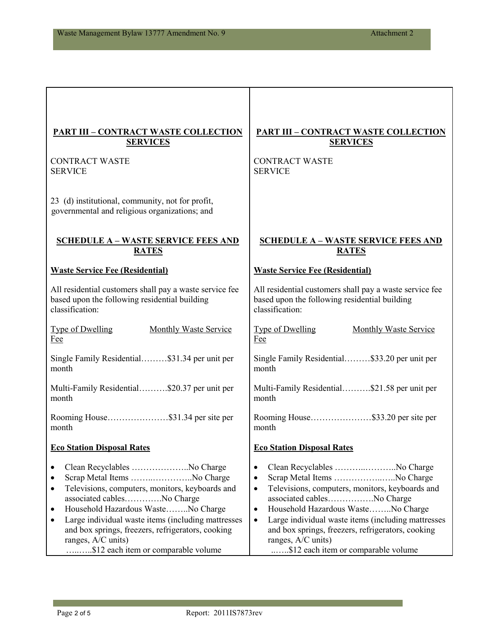| <b>PART III - CONTRACT WASTE COLLECTION</b>                                                                                                                                                                                                                                                                                                                                              | <b>PART III - CONTRACT WASTE COLLECTION</b>                                                                                                                                                                                                                                                                                                                                                                                |
|------------------------------------------------------------------------------------------------------------------------------------------------------------------------------------------------------------------------------------------------------------------------------------------------------------------------------------------------------------------------------------------|----------------------------------------------------------------------------------------------------------------------------------------------------------------------------------------------------------------------------------------------------------------------------------------------------------------------------------------------------------------------------------------------------------------------------|
| <b>SERVICES</b>                                                                                                                                                                                                                                                                                                                                                                          | <b>SERVICES</b>                                                                                                                                                                                                                                                                                                                                                                                                            |
| <b>CONTRACT WASTE</b>                                                                                                                                                                                                                                                                                                                                                                    | <b>CONTRACT WASTE</b>                                                                                                                                                                                                                                                                                                                                                                                                      |
| <b>SERVICE</b>                                                                                                                                                                                                                                                                                                                                                                           | <b>SERVICE</b>                                                                                                                                                                                                                                                                                                                                                                                                             |
| 23 (d) institutional, community, not for profit,<br>governmental and religious organizations; and                                                                                                                                                                                                                                                                                        |                                                                                                                                                                                                                                                                                                                                                                                                                            |
| <b>SCHEDULE A - WASTE SERVICE FEES AND</b>                                                                                                                                                                                                                                                                                                                                               | <b>SCHEDULE A - WASTE SERVICE FEES AND</b>                                                                                                                                                                                                                                                                                                                                                                                 |
| <b>RATES</b>                                                                                                                                                                                                                                                                                                                                                                             | <b>RATES</b>                                                                                                                                                                                                                                                                                                                                                                                                               |
| <b>Waste Service Fee (Residential)</b>                                                                                                                                                                                                                                                                                                                                                   | <b>Waste Service Fee (Residential)</b>                                                                                                                                                                                                                                                                                                                                                                                     |
| All residential customers shall pay a waste service fee                                                                                                                                                                                                                                                                                                                                  | All residential customers shall pay a waste service fee                                                                                                                                                                                                                                                                                                                                                                    |
| based upon the following residential building                                                                                                                                                                                                                                                                                                                                            | based upon the following residential building                                                                                                                                                                                                                                                                                                                                                                              |
| classification:                                                                                                                                                                                                                                                                                                                                                                          | classification:                                                                                                                                                                                                                                                                                                                                                                                                            |
| Type of Dwelling                                                                                                                                                                                                                                                                                                                                                                         | <b>Type of Dwelling</b>                                                                                                                                                                                                                                                                                                                                                                                                    |
| Monthly Waste Service                                                                                                                                                                                                                                                                                                                                                                    | Monthly Waste Service                                                                                                                                                                                                                                                                                                                                                                                                      |
| Fee                                                                                                                                                                                                                                                                                                                                                                                      | Fee                                                                                                                                                                                                                                                                                                                                                                                                                        |
| Single Family Residential\$31.34 per unit per                                                                                                                                                                                                                                                                                                                                            | Single Family Residential\$33.20 per unit per                                                                                                                                                                                                                                                                                                                                                                              |
| month                                                                                                                                                                                                                                                                                                                                                                                    | month                                                                                                                                                                                                                                                                                                                                                                                                                      |
| Multi-Family Residential\$20.37 per unit per                                                                                                                                                                                                                                                                                                                                             | Multi-Family Residential\$21.58 per unit per                                                                                                                                                                                                                                                                                                                                                                               |
| month                                                                                                                                                                                                                                                                                                                                                                                    | month                                                                                                                                                                                                                                                                                                                                                                                                                      |
| Rooming House\$31.34 per site per                                                                                                                                                                                                                                                                                                                                                        | Rooming House\$33.20 per site per                                                                                                                                                                                                                                                                                                                                                                                          |
| month                                                                                                                                                                                                                                                                                                                                                                                    | month                                                                                                                                                                                                                                                                                                                                                                                                                      |
| <b>Eco Station Disposal Rates</b>                                                                                                                                                                                                                                                                                                                                                        | <b>Eco Station Disposal Rates</b>                                                                                                                                                                                                                                                                                                                                                                                          |
| Clean Recyclables No Charge<br>Scrap Metal Items No Charge<br>Televisions, computers, monitors, keyboards and<br>$\bullet$<br>associated cablesNo Charge<br>Household Hazardous WasteNo Charge<br>٠<br>Large individual waste items (including mattresses<br>$\bullet$<br>and box springs, freezers, refrigerators, cooking<br>ranges, A/C units)<br>\$12 each item or comparable volume | Clean Recyclables No Charge<br>$\bullet$<br>Scrap Metal Items No Charge<br>$\bullet$<br>Televisions, computers, monitors, keyboards and<br>$\bullet$<br>associated cablesNo Charge<br>Household Hazardous WasteNo Charge<br>$\bullet$<br>Large individual waste items (including mattresses<br>$\bullet$<br>and box springs, freezers, refrigerators, cooking<br>ranges, A/C units)<br>\$12 each item or comparable volume |

**Contract**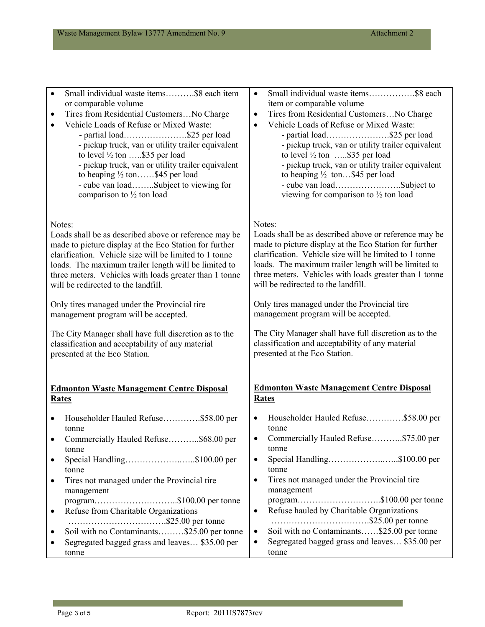| Small individual waste items\$8 each item                                                                                    | Small individual waste items\$8 each                                                                                                           |
|------------------------------------------------------------------------------------------------------------------------------|------------------------------------------------------------------------------------------------------------------------------------------------|
| $\bullet$                                                                                                                    | $\bullet$                                                                                                                                      |
| or comparable volume                                                                                                         | item or comparable volume                                                                                                                      |
| Tires from Residential CustomersNo Charge                                                                                    | Tires from Residential CustomersNo Charge                                                                                                      |
| $\bullet$                                                                                                                    | $\bullet$                                                                                                                                      |
| Vehicle Loads of Refuse or Mixed Waste:                                                                                      | Vehicle Loads of Refuse or Mixed Waste:                                                                                                        |
| - partial load\$25 per load                                                                                                  | - partial load\$25 per load                                                                                                                    |
| - pickup truck, van or utility trailer equivalent                                                                            | - pickup truck, van or utility trailer equivalent                                                                                              |
| to level $\frac{1}{2}$ ton \$35 per load                                                                                     | to level $\frac{1}{2}$ ton \$35 per load                                                                                                       |
| - pickup truck, van or utility trailer equivalent                                                                            | - pickup truck, van or utility trailer equivalent                                                                                              |
| to heaping 1/2 ton\$45 per load                                                                                              | to heaping $\frac{1}{2}$ ton\$45 per load                                                                                                      |
| - cube van loadSubject to viewing for                                                                                        |                                                                                                                                                |
| comparison to 1/2 ton load                                                                                                   | viewing for comparison to $\frac{1}{2}$ ton load                                                                                               |
| Notes:                                                                                                                       | Notes:                                                                                                                                         |
| Loads shall be as described above or reference may be                                                                        | Loads shall be as described above or reference may be                                                                                          |
| made to picture display at the Eco Station for further                                                                       | made to picture display at the Eco Station for further                                                                                         |
| clarification. Vehicle size will be limited to 1 tonne                                                                       | clarification. Vehicle size will be limited to 1 tonne                                                                                         |
| loads. The maximum trailer length will be limited to                                                                         | loads. The maximum trailer length will be limited to                                                                                           |
| three meters. Vehicles with loads greater than 1 tonne                                                                       | three meters. Vehicles with loads greater than 1 tonne                                                                                         |
| will be redirected to the landfill.                                                                                          | will be redirected to the landfill.                                                                                                            |
| Only tires managed under the Provincial tire                                                                                 | Only tires managed under the Provincial tire                                                                                                   |
| management program will be accepted.                                                                                         | management program will be accepted.                                                                                                           |
| The City Manager shall have full discretion as to the                                                                        | The City Manager shall have full discretion as to the                                                                                          |
| classification and acceptability of any material                                                                             | classification and acceptability of any material                                                                                               |
| presented at the Eco Station.                                                                                                | presented at the Eco Station.                                                                                                                  |
| <b>Edmonton Waste Management Centre Disposal</b>                                                                             | <b>Edmonton Waste Management Centre Disposal</b>                                                                                               |
| <b>Rates</b>                                                                                                                 | <b>Rates</b>                                                                                                                                   |
| Householder Hauled Refuse\$58.00 per                                                                                         | Householder Hauled Refuse\$58.00 per                                                                                                           |
| tonne                                                                                                                        | tonne                                                                                                                                          |
| Commercially Hauled Refuse\$68.00 per                                                                                        | Commercially Hauled Refuse\$75.00 per                                                                                                          |
| tonne                                                                                                                        | tonne                                                                                                                                          |
| Special Handling\$100.00 per                                                                                                 | Special Handling\$100.00 per                                                                                                                   |
| $\bullet$                                                                                                                    | $\bullet$                                                                                                                                      |
| tonne                                                                                                                        | tonne                                                                                                                                          |
| Tires not managed under the Provincial tire                                                                                  | Tires not managed under the Provincial tire                                                                                                    |
|                                                                                                                              | $\bullet$                                                                                                                                      |
| management                                                                                                                   | management                                                                                                                                     |
| program\$100.00 per tonne<br>Refuse from Charitable Organizations<br>$\bullet$<br>Soil with no Contaminants\$25.00 per tonne | program\$100.00 per tonne<br>Refuse hauled by Charitable Organizations<br>$\bullet$<br>Soil with no Contaminants\$25.00 per tonne<br>$\bullet$ |
|                                                                                                                              | Segregated bagged grass and leaves \$35.00 per                                                                                                 |
| Segregated bagged grass and leaves \$35.00 per                                                                               | ٠                                                                                                                                              |
| tonne                                                                                                                        | tonne                                                                                                                                          |

**Contract Contract**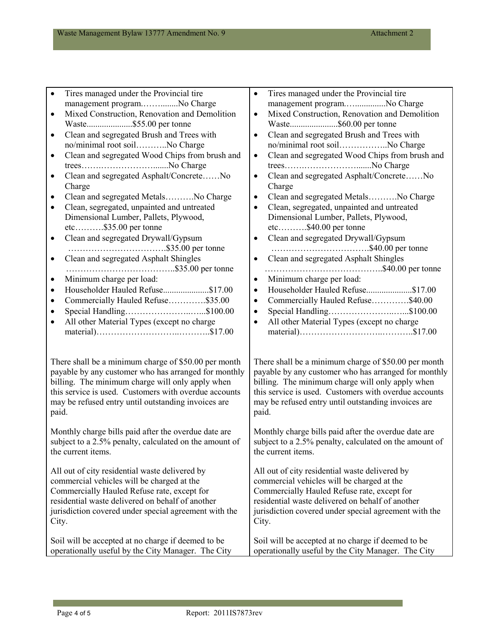| Tires managed under the Provincial tire<br>$\bullet$                                                         | Tires managed under the Provincial tire<br>$\bullet$                                                         |
|--------------------------------------------------------------------------------------------------------------|--------------------------------------------------------------------------------------------------------------|
| management programNo Charge                                                                                  | management programNo Charge                                                                                  |
| Mixed Construction, Renovation and Demolition<br>$\bullet$                                                   | Mixed Construction, Renovation and Demolition<br>$\bullet$                                                   |
|                                                                                                              | Waste\$60.00 per tonne                                                                                       |
| Clean and segregated Brush and Trees with<br>$\bullet$                                                       | Clean and segregated Brush and Trees with<br>$\bullet$                                                       |
| no/minimal root soilNo Charge                                                                                | no/minimal root soilNo Charge                                                                                |
| Clean and segregated Wood Chips from brush and<br>$\bullet$                                                  | Clean and segregated Wood Chips from brush and<br>$\bullet$                                                  |
|                                                                                                              | treesNo Charge                                                                                               |
| Clean and segregated Asphalt/ConcreteNo<br>$\bullet$                                                         | Clean and segregated Asphalt/ConcreteNo<br>$\bullet$                                                         |
| Charge                                                                                                       | Charge                                                                                                       |
| Clean and segregated MetalsNo Charge<br>$\bullet$                                                            | Clean and segregated MetalsNo Charge<br>$\bullet$                                                            |
| Clean, segregated, unpainted and untreated<br>$\bullet$                                                      | Clean, segregated, unpainted and untreated<br>$\bullet$                                                      |
| Dimensional Lumber, Pallets, Plywood,                                                                        | Dimensional Lumber, Pallets, Plywood,                                                                        |
| $etc.$ \$35.00 per tonne                                                                                     | $etc.$ \$40.00 per tonne                                                                                     |
| Clean and segregated Drywall/Gypsum<br>$\bullet$                                                             | Clean and segregated Drywall/Gypsum<br>$\bullet$                                                             |
|                                                                                                              |                                                                                                              |
| Clean and segregated Asphalt Shingles<br>$\bullet$                                                           | Clean and segregated Asphalt Shingles<br>$\bullet$                                                           |
|                                                                                                              |                                                                                                              |
| Minimum charge per load:<br>$\bullet$                                                                        | Minimum charge per load:<br>$\bullet$                                                                        |
| Householder Hauled Refuse\$17.00<br>$\bullet$                                                                | Householder Hauled Refuse\$17.00<br>$\bullet$                                                                |
| Commercially Hauled Refuse\$35.00<br>$\bullet$                                                               | Commercially Hauled Refuse\$40.00<br>$\bullet$                                                               |
| Special Handling\$100.00<br>$\bullet$                                                                        | $\bullet$                                                                                                    |
| All other Material Types (except no charge<br>$\bullet$                                                      | All other Material Types (except no charge<br>$\bullet$                                                      |
|                                                                                                              |                                                                                                              |
|                                                                                                              |                                                                                                              |
|                                                                                                              |                                                                                                              |
| There shall be a minimum charge of \$50.00 per month<br>payable by any customer who has arranged for monthly | There shall be a minimum charge of \$50.00 per month<br>payable by any customer who has arranged for monthly |
| billing. The minimum charge will only apply when                                                             | billing. The minimum charge will only apply when                                                             |
| this service is used. Customers with overdue accounts                                                        | this service is used. Customers with overdue accounts                                                        |
| may be refused entry until outstanding invoices are                                                          | may be refused entry until outstanding invoices are                                                          |
| paid.                                                                                                        | paid.                                                                                                        |
|                                                                                                              |                                                                                                              |
| Monthly charge bills paid after the overdue date are                                                         | Monthly charge bills paid after the overdue date are                                                         |
| subject to a 2.5% penalty, calculated on the amount of                                                       | subject to a 2.5% penalty, calculated on the amount of                                                       |
| the current items.                                                                                           | the current items.                                                                                           |
|                                                                                                              |                                                                                                              |
| All out of city residential waste delivered by                                                               | All out of city residential waste delivered by                                                               |
| commercial vehicles will be charged at the                                                                   | commercial vehicles will be charged at the                                                                   |
| Commercially Hauled Refuse rate, except for                                                                  | Commercially Hauled Refuse rate, except for                                                                  |
| residential waste delivered on behalf of another                                                             | residential waste delivered on behalf of another                                                             |
| jurisdiction covered under special agreement with the                                                        | jurisdiction covered under special agreement with the                                                        |
| City.                                                                                                        | City.                                                                                                        |
|                                                                                                              |                                                                                                              |
| Soil will be accepted at no charge if deemed to be                                                           | Soil will be accepted at no charge if deemed to be                                                           |
| operationally useful by the City Manager. The City                                                           | operationally useful by the City Manager. The City                                                           |

**Contract Contract**